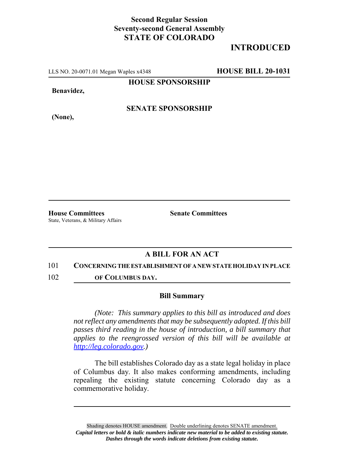## **Second Regular Session Seventy-second General Assembly STATE OF COLORADO**

# **INTRODUCED**

LLS NO. 20-0071.01 Megan Waples x4348 **HOUSE BILL 20-1031**

**HOUSE SPONSORSHIP**

**Benavidez,**

**(None),**

**SENATE SPONSORSHIP**

State, Veterans, & Military Affairs

**House Committees Senate Committees**

## **A BILL FOR AN ACT**

#### 101 **CONCERNING THE ESTABLISHMENT OF A NEW STATE HOLIDAY IN PLACE**

102 **OF COLUMBUS DAY.**

### **Bill Summary**

*(Note: This summary applies to this bill as introduced and does not reflect any amendments that may be subsequently adopted. If this bill passes third reading in the house of introduction, a bill summary that applies to the reengrossed version of this bill will be available at http://leg.colorado.gov.)*

The bill establishes Colorado day as a state legal holiday in place of Columbus day. It also makes conforming amendments, including repealing the existing statute concerning Colorado day as a commemorative holiday.

Shading denotes HOUSE amendment. Double underlining denotes SENATE amendment. *Capital letters or bold & italic numbers indicate new material to be added to existing statute. Dashes through the words indicate deletions from existing statute.*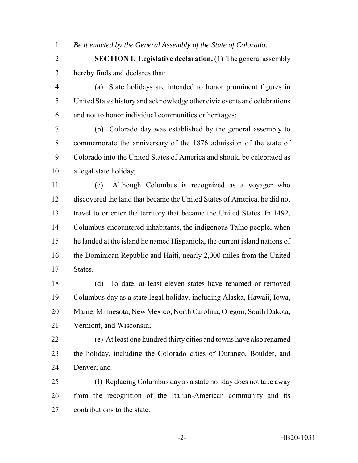*Be it enacted by the General Assembly of the State of Colorado:*

 **SECTION 1. Legislative declaration.** (1) The general assembly hereby finds and declares that:

 (a) State holidays are intended to honor prominent figures in United States history and acknowledge other civic events and celebrations and not to honor individual communities or heritages;

 (b) Colorado day was established by the general assembly to commemorate the anniversary of the 1876 admission of the state of Colorado into the United States of America and should be celebrated as a legal state holiday;

 (c) Although Columbus is recognized as a voyager who discovered the land that became the United States of America, he did not travel to or enter the territory that became the United States. In 1492, Columbus encountered inhabitants, the indigenous Taíno people, when he landed at the island he named Hispaniola, the current island nations of the Dominican Republic and Haiti, nearly 2,000 miles from the United States.

 (d) To date, at least eleven states have renamed or removed Columbus day as a state legal holiday, including Alaska, Hawaii, Iowa, Maine, Minnesota, New Mexico, North Carolina, Oregon, South Dakota, Vermont, and Wisconsin;

 (e) At least one hundred thirty cities and towns have also renamed the holiday, including the Colorado cities of Durango, Boulder, and Denver; and

 (f) Replacing Columbus day as a state holiday does not take away from the recognition of the Italian-American community and its contributions to the state.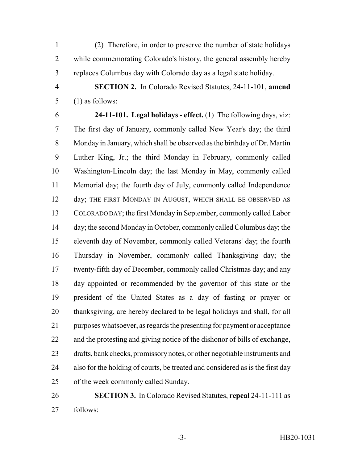(2) Therefore, in order to preserve the number of state holidays while commemorating Colorado's history, the general assembly hereby replaces Columbus day with Colorado day as a legal state holiday.

 **SECTION 2.** In Colorado Revised Statutes, 24-11-101, **amend** (1) as follows:

 **24-11-101. Legal holidays - effect.** (1) The following days, viz: The first day of January, commonly called New Year's day; the third Monday in January, which shall be observed as the birthday of Dr. Martin Luther King, Jr.; the third Monday in February, commonly called Washington-Lincoln day; the last Monday in May, commonly called Memorial day; the fourth day of July, commonly called Independence 12 day; THE FIRST MONDAY IN AUGUST, WHICH SHALL BE OBSERVED AS COLORADO DAY; the first Monday in September, commonly called Labor 14 day; the second Monday in October, commonly called Columbus day; the eleventh day of November, commonly called Veterans' day; the fourth Thursday in November, commonly called Thanksgiving day; the twenty-fifth day of December, commonly called Christmas day; and any day appointed or recommended by the governor of this state or the president of the United States as a day of fasting or prayer or thanksgiving, are hereby declared to be legal holidays and shall, for all purposes whatsoever, as regards the presenting for payment or acceptance and the protesting and giving notice of the dishonor of bills of exchange, drafts, bank checks, promissory notes, or other negotiable instruments and also for the holding of courts, be treated and considered as is the first day of the week commonly called Sunday.

 **SECTION 3.** In Colorado Revised Statutes, **repeal** 24-11-111 as follows: